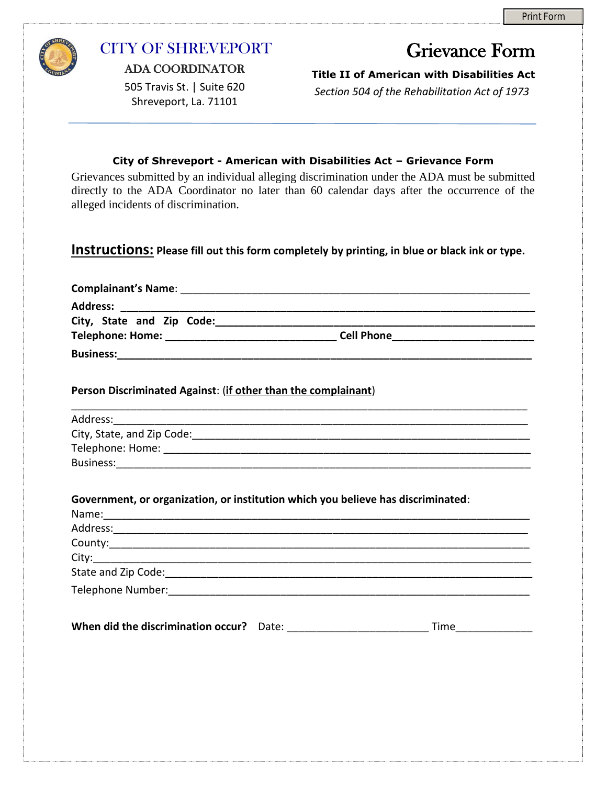

## CITY OF SHREVEPORT

ADA COORDINATOR

505 Travis St. | Suite 620 Shreveport, La. 71101

## Grievance Form

**Title II of American with Disabilities Act** 

*Section 504 of the Rehabilitation Act of 1973*

## **City of Shreveport - American with Disabilities Act – Grievance Form**

Grievances submitted by an individual alleging discrimination under the ADA must be submitted directly to the ADA Coordinator no later than 60 calendar days after the occurrence of the alleged incidents of discrimination.

## **Instructions: Please fill out this form completely by printing, in blue or black ink or type.**

| Person Discriminated Against: (if other than the complainant) |                                                                                                                                                                                                                                                                                                                         |  |
|---------------------------------------------------------------|-------------------------------------------------------------------------------------------------------------------------------------------------------------------------------------------------------------------------------------------------------------------------------------------------------------------------|--|
|                                                               |                                                                                                                                                                                                                                                                                                                         |  |
|                                                               |                                                                                                                                                                                                                                                                                                                         |  |
|                                                               |                                                                                                                                                                                                                                                                                                                         |  |
|                                                               |                                                                                                                                                                                                                                                                                                                         |  |
|                                                               | Government, or organization, or institution which you believe has discriminated:<br>County: <u>county:</u> county: county: county: county: county: county: county: county: county: county: county: county: county: county: county: county: county: county: county: county: county: county: county: county: county: coun |  |
|                                                               |                                                                                                                                                                                                                                                                                                                         |  |
|                                                               |                                                                                                                                                                                                                                                                                                                         |  |
|                                                               |                                                                                                                                                                                                                                                                                                                         |  |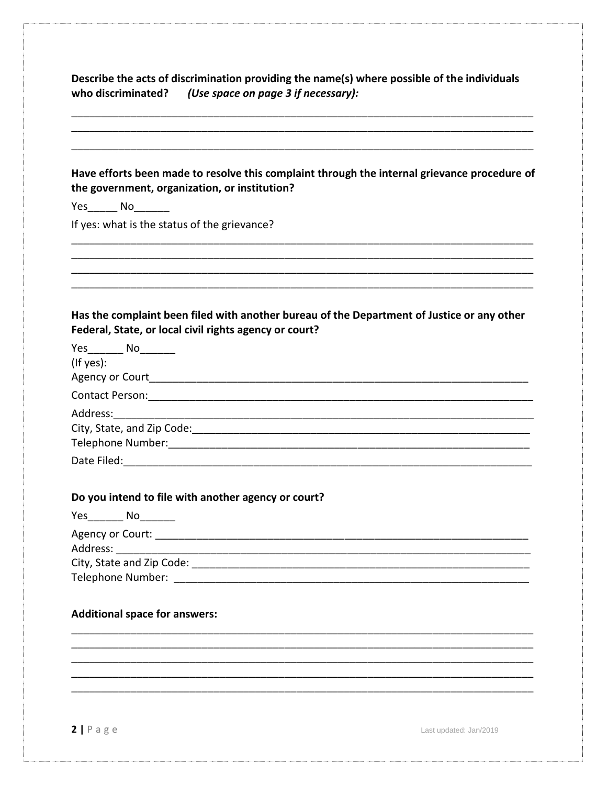Describe the acts of discrimination providing the name(s) where possible of the individuals who discriminated? (Use space on page 3 if necessary):

| Yes________ No________ |                                                                                                                                                      |
|------------------------|------------------------------------------------------------------------------------------------------------------------------------------------------|
|                        | If yes: what is the status of the grievance?                                                                                                         |
|                        |                                                                                                                                                      |
|                        | Has the complaint been filed with another bureau of the Department of Justice or any other<br>Federal, State, or local civil rights agency or court? |
| Yes No                 |                                                                                                                                                      |
| (If yes):              |                                                                                                                                                      |
|                        |                                                                                                                                                      |
|                        |                                                                                                                                                      |
| Address:               |                                                                                                                                                      |
|                        | City, State, and Zip Code: 2000 COMERCIAL CONSERVATION CONTROL CONTROL CONTROL CONTROL CONTROL CONTROL CONTROL                                       |
|                        |                                                                                                                                                      |
|                        |                                                                                                                                                      |
|                        | Do you intend to file with another agency or court?                                                                                                  |
|                        | Yes No                                                                                                                                               |
|                        |                                                                                                                                                      |
|                        |                                                                                                                                                      |
|                        |                                                                                                                                                      |
|                        |                                                                                                                                                      |

 $2 | P \text{ a } g \text{ e}$ 

Last updated: Jan/2019